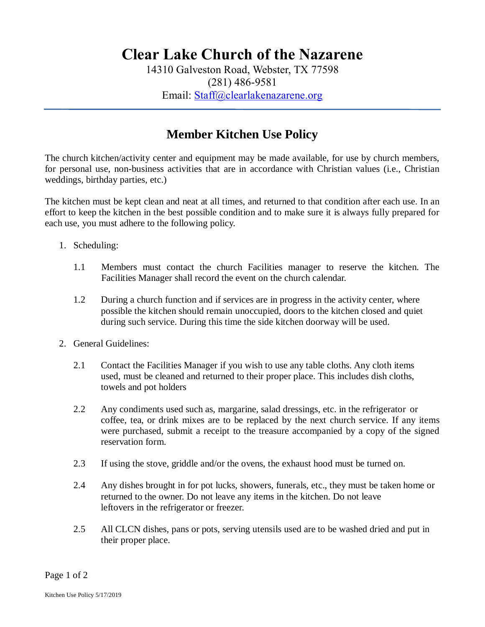## **Clear Lake Church of the Nazarene**

14310 Galveston Road, Webster, TX 77598 (281) 486-9581 Email: [Staff@clearlakenazarene.org](mailto:Staff@clearlakenazarene.org)

## **Member Kitchen Use Policy**

The church kitchen/activity center and equipment may be made available, for use by church members, for personal use, non-business activities that are in accordance with Christian values (i.e., Christian weddings, birthday parties, etc.)

The kitchen must be kept clean and neat at all times, and returned to that condition after each use. In an effort to keep the kitchen in the best possible condition and to make sure it is always fully prepared for each use, you must adhere to the following policy.

- 1. Scheduling:
	- 1.1 Members must contact the church Facilities manager to reserve the kitchen. The Facilities Manager shall record the event on the church calendar.
	- 1.2 During a church function and if services are in progress in the activity center, where possible the kitchen should remain unoccupied, doors to the kitchen closed and quiet during such service. During this time the side kitchen doorway will be used.
- 2. General Guidelines:
	- 2.1 Contact the Facilities Manager if you wish to use any table cloths. Any cloth items used, must be cleaned and returned to their proper place. This includes dish cloths, towels and pot holders
	- 2.2 Any condiments used such as, margarine, salad dressings, etc. in the refrigerator or coffee, tea, or drink mixes are to be replaced by the next church service. If any items were purchased, submit a receipt to the treasure accompanied by a copy of the signed reservation form.
	- 2.3 If using the stove, griddle and/or the ovens, the exhaust hood must be turned on.
	- 2.4 Any dishes brought in for pot lucks, showers, funerals, etc., they must be taken home or returned to the owner. Do not leave any items in the kitchen. Do not leave leftovers in the refrigerator or freezer.
	- 2.5 All CLCN dishes, pans or pots, serving utensils used are to be washed dried and put in their proper place.

Page 1 of 2